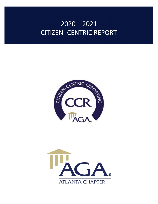# $2020 - 2021$ CITIZEN -CENTRIC REPORT



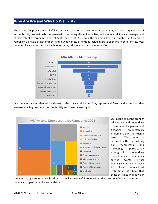## **Who Are We and Why Do We Exist?**

The Atlanta Chapter is the local affiliate of the Association of Government Accountants, a national organization of accountability professionals concerned with promoting efficient, effective, and economical financial management at all levels of government—Federal, State, and Local. As seen in the exhibit below, our chapter's 214 members represent all levels of government and a wide variety of entities including state agencies, federal offices, local counties, local authorities, local school systems, private industry, and non-profits.



Our members are as talented and diverse as the city we call home. They represent all facets and professions that are essential to government accountability and financial oversight.



Our goal is to be the premier educational and networking organization for government financial accountability professionals in the Atlanta area. We hope to accomplish this by building our membership and increasing participation through virtual networking opportunities, community service events, virtual training events and outreach to local educational institutions. We hope that these activities will allow our

members to get to know each other and make meaningful connections that are beneficial to them and are beneficial to government accountability.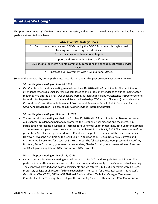## **What Are We Doing?**

This past program year (2020-2021). was very successful, and as seen in the following table, we had five primary goals we attempted to achieve.

|        |        | <b>AGA Atlanta's Strategic Goals</b>                                             |
|--------|--------|----------------------------------------------------------------------------------|
|        | $\ast$ | Support our members and CGFMs during the COVID Panademic through virtual         |
|        |        | training and networking opportunities.                                           |
|        |        | $\ast$<br>Attract new members to our chapter                                     |
|        |        | $\ast$<br>Support and promote the CGFM certification                             |
| $\ast$ |        | Give back to the metro Atlanta community combating the panademic through service |
|        |        | events                                                                           |
|        |        | $\ast$<br>Increase our involvement with AGA's National Office.                   |

Some of the noteworthy accomplishments towards these goals this past program year were as follows:

#### *Virtual Chapter meeting on June 18, 2020*:

 Our Chapter's first virtual meeting was held on June 18, 2020 with 40 participants. The participation or attendance rate was a small increase as compared to the in-person attendance of our normal Chapter meetings. We offered 3 CPEs. Our speakers were Maureen Duddy, Deputy Assistance Inspector General for Audits for Department of Homeland Security (Leadership: We're on to Cincinnati), Amanda Noble, City Auditor, City of Atlanta (Independent Procurement Review to Rebuild Public Trust) and Patrick Cowan, Audit Manager, Tallahassee City Auditor's Office (Internal Controls).

#### *Virtual Chapter meeting on October 15, 2020:*

 The second virtual meeting was held on October 15, 2020 with 98 participants. Jim Dawson serves as our Chapter President and personally promoted the October virtual meeting and the increase in participation represents a substantial increase for our normal Chapter meetings. Both Chapter members and non-members participated. We were honored to have Mr. Joel Black, GASB Chairman as one of the presenters. Mr. Black has presented to our Chapter in the past as a member of the local community. However, it was the first time as the GASB Chair. In addition to Mr. Black, Dr, Jeffrey Dorfman and Charles B. Hall presented for a total of 3 CPEs offered. The following topics were presented. Dr. Jeffrey Dorfman, State Economist, gave an economic update, Charles B. Hall gave a presentation on fraud and Joel Black gave an update on GASB and various GASB projects.

#### **Virtual Chapter meeting on March 18, 2021:**

 Our Chapter's third virtual meeting was held on March 18, 2021 with roughly 160 participants. The participation or attendance rate was excellent and compared favorably to the October virtual meeting. The event was provided at no cost to participants and we offered 3 CPEs. Our speakers were Ed Lugo, Professor, College of Charleston "Ethical Leadership – The Search for the Ethical Leadership Factor", Gerry Boaz, CPA, CGFM, CGMA, AGA National President-Elect, Technical Manager, Tennessee Comptroller of the Treasury "Leadership in the Virtual Age" and Heather Keister, CPA, CIA, Assistant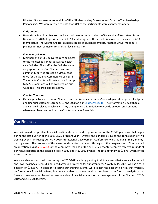Director, Government Accountability Office "Understanding Ourselves and Others – Your Leadership Personality". We were pleased to note that 31% of the participants were chapter members.

#### *Early Careers:*

 Harry Gatanis and Jim Dawson held a virtual meeting with students of University of West Georgia on November 3, 2020. Approximately 17 to 19 students joined the virtual discussion on the value of AGA membership. The Atlanta Chapter gained a couple of student members. Another virtual meeting is planned for next semester for another local university.

#### *Community Service:*

 Members of our CEC delivered care packages to the medical personnel at six area health care facilities. The staff at the facilities were very appreciative. Our Chapter's current community service project is a virtual food drive for the Atlanta Community Food Bank. The Atlanta Chapter will match donations up to \$250. Donations will be collected on our webpage. This project is still active.



#### **Chapter Treasurer:**

 Our chapter Treasurer (Jackie Neubert) and our Webmaster (James Shepard) placed our general ledgers and financial statements from 2019 and 2020 on our Chapter website. The information is searchable and can be displayed graphically. They championed this initiative to provide an open environment where members can see how the Chapter operates financially.

## **Our Finances**

We maintained our positive financial position, despite the disruptive impact of the COVID pandemic that began during the last quarter of the 2019-2020 program year. Overall, the pandemic caused the cancelation of two training events, including our May 2020 Professional Development Conference, which is our primary moneymaking event. The proceeds of this event fund chapter operations throughout the program year. Thus, we had an operation loss of \$5,067.88 for the year. After the end of the 2019-2020 chapter year, we received refunds of our venue deposits on the canceled March 2020 and May 2020 events. The total refund was \$1,875, which offset some of our loss.

We were able to stem the losses during the 2020-2021 cycle by pivoting to virtual events that were well attended and lower cost because we did not need a venue or catering for our attendees. As of May 15, 2021, we had a cash position of \$12,897. In addition to losing our training events, we also lost the accounting firm that typically performed our financial reviews, but we were able to contract with a consultant to perform an analysis of our finances. We are also pleased to receive a clean financial analysis for our management of the Chapter's 2018- 2019 and 2019-2020 cycles.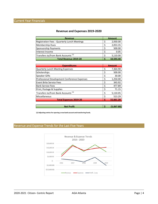### **Revenue and Expenses 2019-2020**

| <b>Revenue</b>                                 |  | <b>Amount</b> |  |
|------------------------------------------------|--|---------------|--|
| Registration Fees - Quarterly Lunch Meetings   |  | 2,930.00      |  |
| <b>Membership Dues</b>                         |  | 2,053.35      |  |
| Sponsorship Payments                           |  | 500.00        |  |
| Interest Income                                |  | 0.05          |  |
| Transfers to/from Bank Accounts <sup>(1)</sup> |  | 5,110.00      |  |
| <b>Total Revenue 2019-20</b>                   |  | 10,593.40     |  |

| <b>Expenditures</b>                            |   | <b>Amount</b> |
|------------------------------------------------|---|---------------|
| <b>Quarterly Lunch Meeting Expenses</b>        |   | 7,364.90      |
| Scholarships                                   |   | 500.00        |
| <b>Speaker Gifts</b>                           |   | 30.00         |
| Professional Development Conference Expenses   |   | 1,250.00      |
| <b>Event Brite Service Fees</b>                |   | 343.92        |
| <b>Bank Service Fees</b>                       |   | 477.89        |
| Print, Postage & Supplies                      |   | 71.15         |
| Transfers to/from Bank Accounts <sup>(1)</sup> |   | 5,110.05      |
| Miscellaneous                                  |   | 513.29        |
| <b>Total Expenses 2019-20</b>                  | Ś | 15,661.20     |
|                                                |   |               |
| <b>Net Profit</b>                              | Ś | (5,067.80)    |

**(1) Adjusting entries for opening a new bank account and transferring funds.**

## Revenue and Expense Trends for the Last Five Years